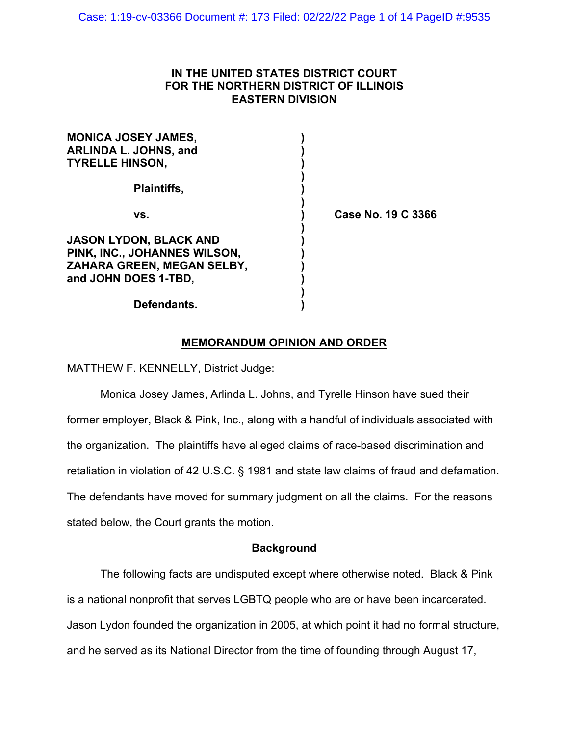# **IN THE UNITED STATES DISTRICT COURT FOR THE NORTHERN DISTRICT OF ILLINOIS EASTERN DIVISION**

| <b>MONICA JOSEY JAMES,</b><br><b>ARLINDA L. JOHNS, and</b>                                                          |  |
|---------------------------------------------------------------------------------------------------------------------|--|
| <b>TYRELLE HINSON,</b>                                                                                              |  |
| Plaintiffs,                                                                                                         |  |
| VS.                                                                                                                 |  |
| <b>JASON LYDON, BLACK AND</b><br>PINK, INC., JOHANNES WILSON,<br>ZAHARA GREEN, MEGAN SELBY,<br>and JOHN DOES 1-TBD. |  |
|                                                                                                                     |  |

**vs. ) Case No. 19 C 3366**

# **Defendants. )**

# **MEMORANDUM OPINION AND ORDER**

MATTHEW F. KENNELLY, District Judge:

Monica Josey James, Arlinda L. Johns, and Tyrelle Hinson have sued their former employer, Black & Pink, Inc., along with a handful of individuals associated with the organization. The plaintiffs have alleged claims of race-based discrimination and retaliation in violation of 42 U.S.C. § 1981 and state law claims of fraud and defamation. The defendants have moved for summary judgment on all the claims. For the reasons stated below, the Court grants the motion.

# **Background**

The following facts are undisputed except where otherwise noted. Black & Pink is a national nonprofit that serves LGBTQ people who are or have been incarcerated. Jason Lydon founded the organization in 2005, at which point it had no formal structure, and he served as its National Director from the time of founding through August 17,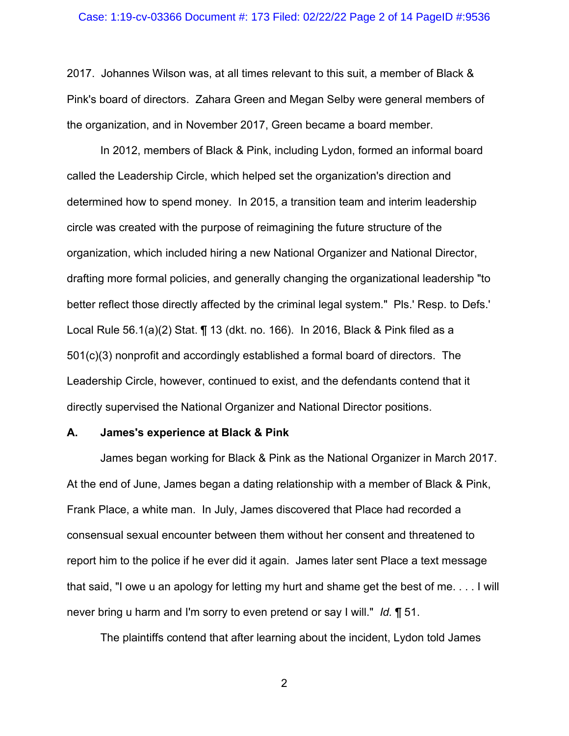## Case: 1:19-cv-03366 Document #: 173 Filed: 02/22/22 Page 2 of 14 PageID #:9536

2017. Johannes Wilson was, at all times relevant to this suit, a member of Black & Pink's board of directors. Zahara Green and Megan Selby were general members of the organization, and in November 2017, Green became a board member.

In 2012, members of Black & Pink, including Lydon, formed an informal board called the Leadership Circle, which helped set the organization's direction and determined how to spend money. In 2015, a transition team and interim leadership circle was created with the purpose of reimagining the future structure of the organization, which included hiring a new National Organizer and National Director, drafting more formal policies, and generally changing the organizational leadership "to better reflect those directly affected by the criminal legal system." Pls.' Resp. to Defs.' Local Rule 56.1(a)(2) Stat. ¶ 13 (dkt. no. 166). In 2016, Black & Pink filed as a 501(c)(3) nonprofit and accordingly established a formal board of directors. The Leadership Circle, however, continued to exist, and the defendants contend that it directly supervised the National Organizer and National Director positions.

### **A. James's experience at Black & Pink**

James began working for Black & Pink as the National Organizer in March 2017. At the end of June, James began a dating relationship with a member of Black & Pink, Frank Place, a white man. In July, James discovered that Place had recorded a consensual sexual encounter between them without her consent and threatened to report him to the police if he ever did it again. James later sent Place a text message that said, "I owe u an apology for letting my hurt and shame get the best of me. . . . I will never bring u harm and I'm sorry to even pretend or say I will." *Id.* ¶ 51.

The plaintiffs contend that after learning about the incident, Lydon told James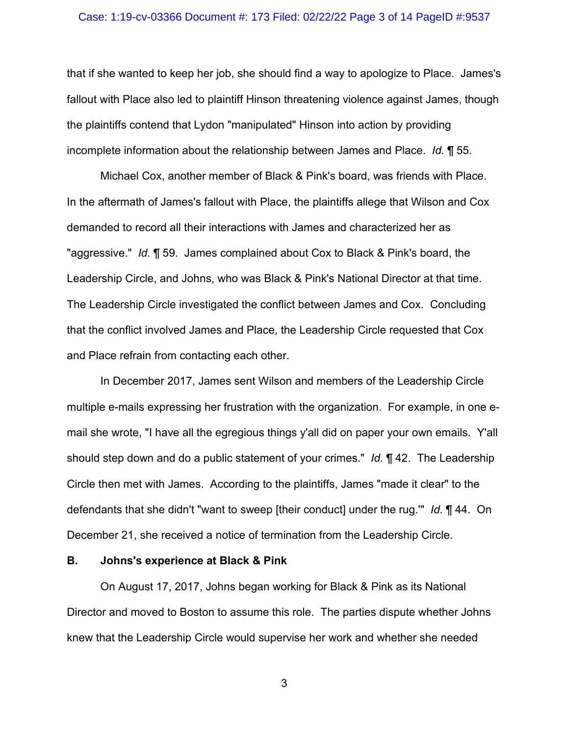### Case: 1:19-cv-03366 Document #: 173 Filed: 02/22/22 Page 3 of 14 PageID #:9537

that if she wanted to keep her job, she should find a way to apologize to Place. James's fallout with Place also led to plaintiff Hinson threatening violence against James, though the plaintiffs contend that Lydon "manipulated" Hinson into action by providing incomplete information about the relationship between James and Place. *Id.* ¶ 55.

Michael Cox, another member of Black & Pink's board, was friends with Place. In the aftermath of James's fallout with Place, the plaintiffs allege that Wilson and Cox demanded to record all their interactions with James and characterized her as "aggressive." *Id.* ¶ 59. James complained about Cox to Black & Pink's board, the Leadership Circle, and Johns, who was Black & Pink's National Director at that time. The Leadership Circle investigated the conflict between James and Cox. Concluding that the conflict involved James and Place, the Leadership Circle requested that Cox and Place refrain from contacting each other.

In December 2017, James sent Wilson and members of the Leadership Circle multiple e-mails expressing her frustration with the organization. For example, in one email she wrote, "I have all the egregious things y'all did on paper your own emails. Y'all should step down and do a public statement of your crimes." *Id.* ¶ 42. The Leadership Circle then met with James. According to the plaintiffs, James "made it clear" to the defendants that she didn't "want to sweep [their conduct] under the rug.'" *Id.* ¶ 44. On December 21, she received a notice of termination from the Leadership Circle.

### **B. Johns's experience at Black & Pink**

On August 17, 2017, Johns began working for Black & Pink as its National Director and moved to Boston to assume this role. The parties dispute whether Johns knew that the Leadership Circle would supervise her work and whether she needed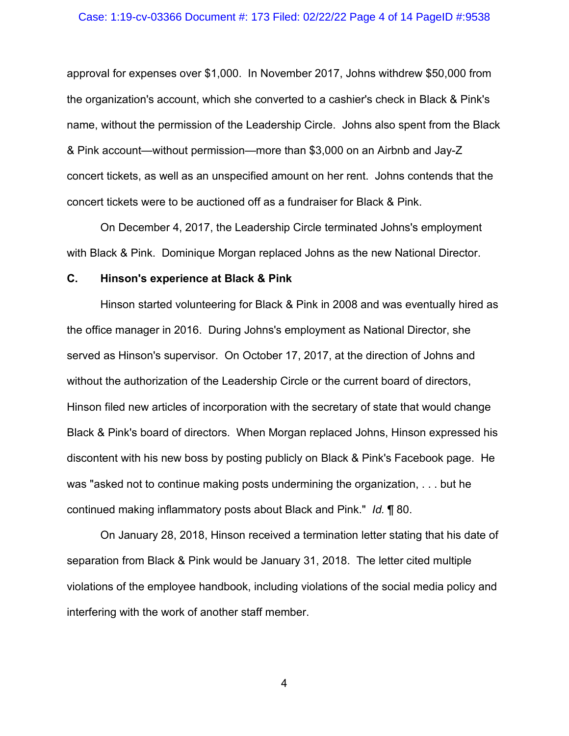### Case: 1:19-cv-03366 Document #: 173 Filed: 02/22/22 Page 4 of 14 PageID #:9538

approval for expenses over \$1,000. In November 2017, Johns withdrew \$50,000 from the organization's account, which she converted to a cashier's check in Black & Pink's name, without the permission of the Leadership Circle. Johns also spent from the Black & Pink account—without permission—more than \$3,000 on an Airbnb and Jay-Z concert tickets, as well as an unspecified amount on her rent. Johns contends that the concert tickets were to be auctioned off as a fundraiser for Black & Pink.

On December 4, 2017, the Leadership Circle terminated Johns's employment with Black & Pink. Dominique Morgan replaced Johns as the new National Director.

## **C. Hinson's experience at Black & Pink**

Hinson started volunteering for Black & Pink in 2008 and was eventually hired as the office manager in 2016. During Johns's employment as National Director, she served as Hinson's supervisor. On October 17, 2017, at the direction of Johns and without the authorization of the Leadership Circle or the current board of directors, Hinson filed new articles of incorporation with the secretary of state that would change Black & Pink's board of directors. When Morgan replaced Johns, Hinson expressed his discontent with his new boss by posting publicly on Black & Pink's Facebook page. He was "asked not to continue making posts undermining the organization, . . . but he continued making inflammatory posts about Black and Pink." *Id.* ¶ 80.

On January 28, 2018, Hinson received a termination letter stating that his date of separation from Black & Pink would be January 31, 2018. The letter cited multiple violations of the employee handbook, including violations of the social media policy and interfering with the work of another staff member.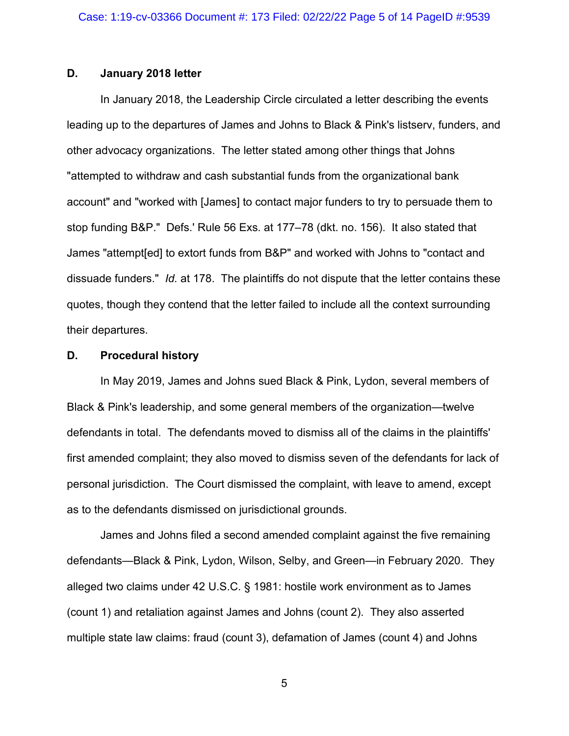# **D. January 2018 letter**

In January 2018, the Leadership Circle circulated a letter describing the events leading up to the departures of James and Johns to Black & Pink's listserv, funders, and other advocacy organizations. The letter stated among other things that Johns "attempted to withdraw and cash substantial funds from the organizational bank account" and "worked with [James] to contact major funders to try to persuade them to stop funding B&P." Defs.' Rule 56 Exs. at 177–78 (dkt. no. 156). It also stated that James "attempt[ed] to extort funds from B&P" and worked with Johns to "contact and dissuade funders." *Id.* at 178. The plaintiffs do not dispute that the letter contains these quotes, though they contend that the letter failed to include all the context surrounding their departures.

### **D. Procedural history**

In May 2019, James and Johns sued Black & Pink, Lydon, several members of Black & Pink's leadership, and some general members of the organization—twelve defendants in total. The defendants moved to dismiss all of the claims in the plaintiffs' first amended complaint; they also moved to dismiss seven of the defendants for lack of personal jurisdiction. The Court dismissed the complaint, with leave to amend, except as to the defendants dismissed on jurisdictional grounds.

James and Johns filed a second amended complaint against the five remaining defendants—Black & Pink, Lydon, Wilson, Selby, and Green—in February 2020. They alleged two claims under 42 U.S.C. § 1981: hostile work environment as to James (count 1) and retaliation against James and Johns (count 2). They also asserted multiple state law claims: fraud (count 3), defamation of James (count 4) and Johns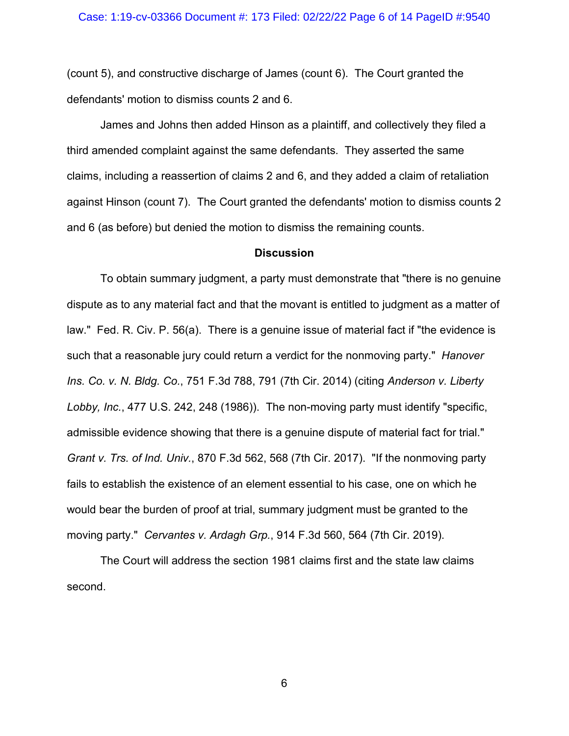(count 5), and constructive discharge of James (count 6). The Court granted the defendants' motion to dismiss counts 2 and 6.

James and Johns then added Hinson as a plaintiff, and collectively they filed a third amended complaint against the same defendants. They asserted the same claims, including a reassertion of claims 2 and 6, and they added a claim of retaliation against Hinson (count 7). The Court granted the defendants' motion to dismiss counts 2 and 6 (as before) but denied the motion to dismiss the remaining counts.

### **Discussion**

To obtain summary judgment, a party must demonstrate that "there is no genuine dispute as to any material fact and that the movant is entitled to judgment as a matter of law." Fed. R. Civ. P. 56(a). There is a genuine issue of material fact if "the evidence is such that a reasonable jury could return a verdict for the nonmoving party." *Hanover Ins. Co. v. N. Bldg. Co.*, 751 F.3d 788, 791 (7th Cir. 2014) (citing *Anderson v. Liberty Lobby, Inc.*, 477 U.S. 242, 248 (1986)). The non-moving party must identify "specific, admissible evidence showing that there is a genuine dispute of material fact for trial." *Grant v. Trs. of Ind. Univ.*, 870 F.3d 562, 568 (7th Cir. 2017). "If the nonmoving party fails to establish the existence of an element essential to his case, one on which he would bear the burden of proof at trial, summary judgment must be granted to the moving party." *Cervantes v. Ardagh Grp.*, 914 F.3d 560, 564 (7th Cir. 2019).

The Court will address the section 1981 claims first and the state law claims second.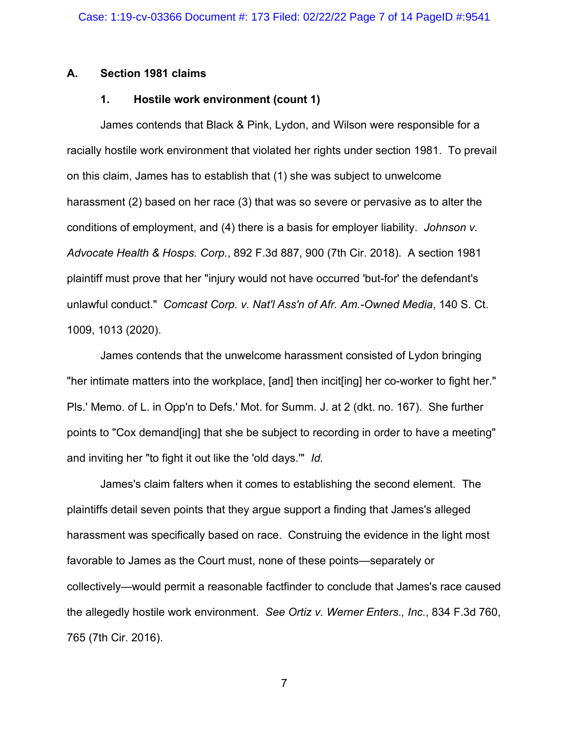## **A. Section 1981 claims**

# **1. Hostile work environment (count 1)**

James contends that Black & Pink, Lydon, and Wilson were responsible for a racially hostile work environment that violated her rights under section 1981. To prevail on this claim, James has to establish that (1) she was subject to unwelcome harassment (2) based on her race (3) that was so severe or pervasive as to alter the conditions of employment, and (4) there is a basis for employer liability. *Johnson v. Advocate Health & Hosps. Corp.*, 892 F.3d 887, 900 (7th Cir. 2018). A section 1981 plaintiff must prove that her "injury would not have occurred 'but-for' the defendant's unlawful conduct." *Comcast Corp. v. Nat'l Ass'n of Afr. Am.-Owned Media*, 140 S. Ct. 1009, 1013 (2020).

James contends that the unwelcome harassment consisted of Lydon bringing "her intimate matters into the workplace, [and] then incit[ing] her co-worker to fight her." Pls.' Memo. of L. in Opp'n to Defs.' Mot. for Summ. J. at 2 (dkt. no. 167). She further points to "Cox demand[ing] that she be subject to recording in order to have a meeting" and inviting her "to fight it out like the 'old days.'" *Id.*

James's claim falters when it comes to establishing the second element. The plaintiffs detail seven points that they argue support a finding that James's alleged harassment was specifically based on race. Construing the evidence in the light most favorable to James as the Court must, none of these points—separately or collectively—would permit a reasonable factfinder to conclude that James's race caused the allegedly hostile work environment. *See Ortiz v. Werner Enters., Inc.*, 834 F.3d 760, 765 (7th Cir. 2016).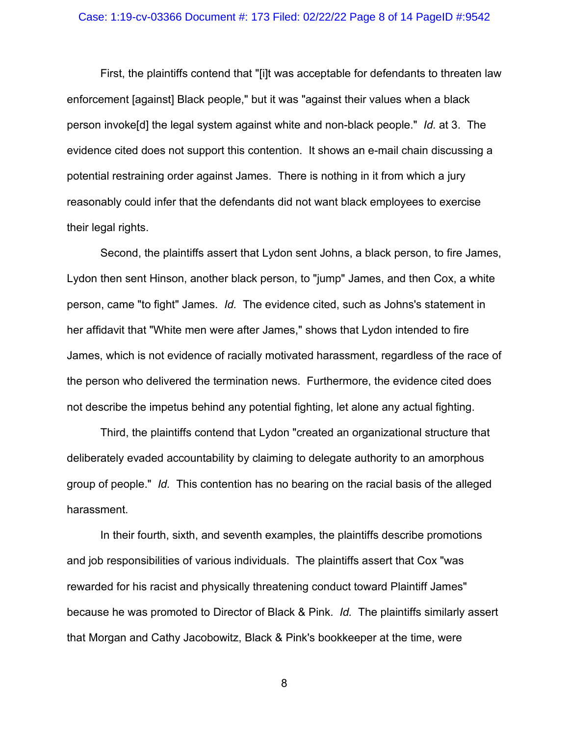### Case: 1:19-cv-03366 Document #: 173 Filed: 02/22/22 Page 8 of 14 PageID #:9542

First, the plaintiffs contend that "[i]t was acceptable for defendants to threaten law enforcement [against] Black people," but it was "against their values when a black person invoke[d] the legal system against white and non-black people." *Id.* at 3. The evidence cited does not support this contention. It shows an e-mail chain discussing a potential restraining order against James. There is nothing in it from which a jury reasonably could infer that the defendants did not want black employees to exercise their legal rights.

Second, the plaintiffs assert that Lydon sent Johns, a black person, to fire James, Lydon then sent Hinson, another black person, to "jump" James, and then Cox, a white person, came "to fight" James. *Id.* The evidence cited, such as Johns's statement in her affidavit that "White men were after James," shows that Lydon intended to fire James, which is not evidence of racially motivated harassment, regardless of the race of the person who delivered the termination news. Furthermore, the evidence cited does not describe the impetus behind any potential fighting, let alone any actual fighting.

Third, the plaintiffs contend that Lydon "created an organizational structure that deliberately evaded accountability by claiming to delegate authority to an amorphous group of people." *Id.* This contention has no bearing on the racial basis of the alleged harassment.

In their fourth, sixth, and seventh examples, the plaintiffs describe promotions and job responsibilities of various individuals. The plaintiffs assert that Cox "was rewarded for his racist and physically threatening conduct toward Plaintiff James" because he was promoted to Director of Black & Pink. *Id.* The plaintiffs similarly assert that Morgan and Cathy Jacobowitz, Black & Pink's bookkeeper at the time, were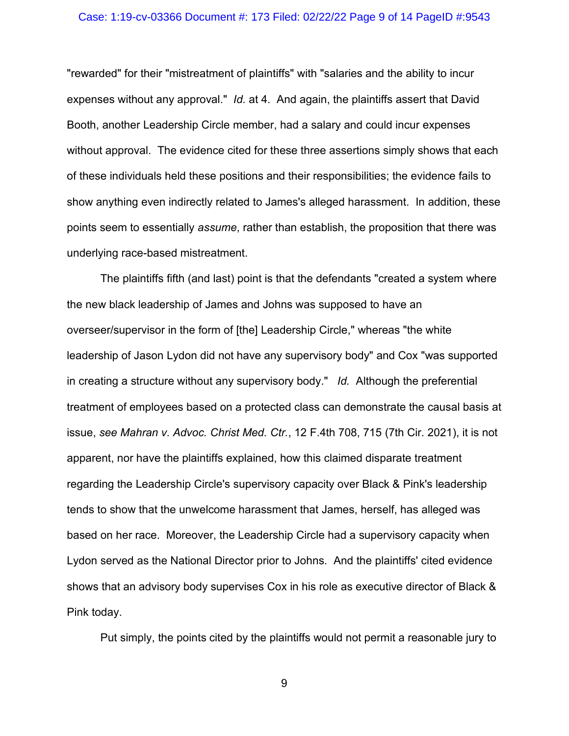### Case: 1:19-cv-03366 Document #: 173 Filed: 02/22/22 Page 9 of 14 PageID #:9543

"rewarded" for their "mistreatment of plaintiffs" with "salaries and the ability to incur expenses without any approval." *Id.* at 4. And again, the plaintiffs assert that David Booth, another Leadership Circle member, had a salary and could incur expenses without approval. The evidence cited for these three assertions simply shows that each of these individuals held these positions and their responsibilities; the evidence fails to show anything even indirectly related to James's alleged harassment. In addition, these points seem to essentially *assume*, rather than establish, the proposition that there was underlying race-based mistreatment.

The plaintiffs fifth (and last) point is that the defendants "created a system where the new black leadership of James and Johns was supposed to have an overseer/supervisor in the form of [the] Leadership Circle," whereas "the white leadership of Jason Lydon did not have any supervisory body" and Cox "was supported in creating a structure without any supervisory body." *Id.* Although the preferential treatment of employees based on a protected class can demonstrate the causal basis at issue, *see Mahran v. Advoc. Christ Med. Ctr.*, 12 F.4th 708, 715 (7th Cir. 2021), it is not apparent, nor have the plaintiffs explained, how this claimed disparate treatment regarding the Leadership Circle's supervisory capacity over Black & Pink's leadership tends to show that the unwelcome harassment that James, herself, has alleged was based on her race. Moreover, the Leadership Circle had a supervisory capacity when Lydon served as the National Director prior to Johns. And the plaintiffs' cited evidence shows that an advisory body supervises Cox in his role as executive director of Black & Pink today.

Put simply, the points cited by the plaintiffs would not permit a reasonable jury to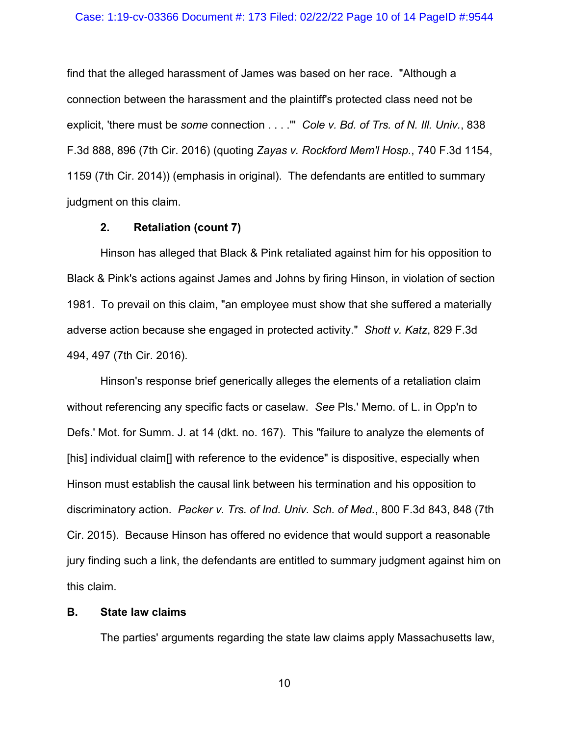#### Case: 1:19-cv-03366 Document #: 173 Filed: 02/22/22 Page 10 of 14 PageID #:9544

find that the alleged harassment of James was based on her race. "Although a connection between the harassment and the plaintiff's protected class need not be explicit, 'there must be *some* connection . . . .'" *Cole v. Bd. of Trs. of N. Ill. Univ.*, 838 F.3d 888, 896 (7th Cir. 2016) (quoting *Zayas v. Rockford Mem'l Hosp.*, 740 F.3d 1154, 1159 (7th Cir. 2014)) (emphasis in original). The defendants are entitled to summary judgment on this claim.

### **2. Retaliation (count 7)**

Hinson has alleged that Black & Pink retaliated against him for his opposition to Black & Pink's actions against James and Johns by firing Hinson, in violation of section 1981. To prevail on this claim, "an employee must show that she suffered a materially adverse action because she engaged in protected activity." *Shott v. Katz*, 829 F.3d 494, 497 (7th Cir. 2016).

Hinson's response brief generically alleges the elements of a retaliation claim without referencing any specific facts or caselaw. *See* Pls.' Memo. of L. in Opp'n to Defs.' Mot. for Summ. J. at 14 (dkt. no. 167). This "failure to analyze the elements of [his] individual claim[] with reference to the evidence" is dispositive, especially when Hinson must establish the causal link between his termination and his opposition to discriminatory action. *Packer v. Trs. of Ind. Univ. Sch. of Med.*, 800 F.3d 843, 848 (7th Cir. 2015). Because Hinson has offered no evidence that would support a reasonable jury finding such a link, the defendants are entitled to summary judgment against him on this claim.

### **B. State law claims**

The parties' arguments regarding the state law claims apply Massachusetts law,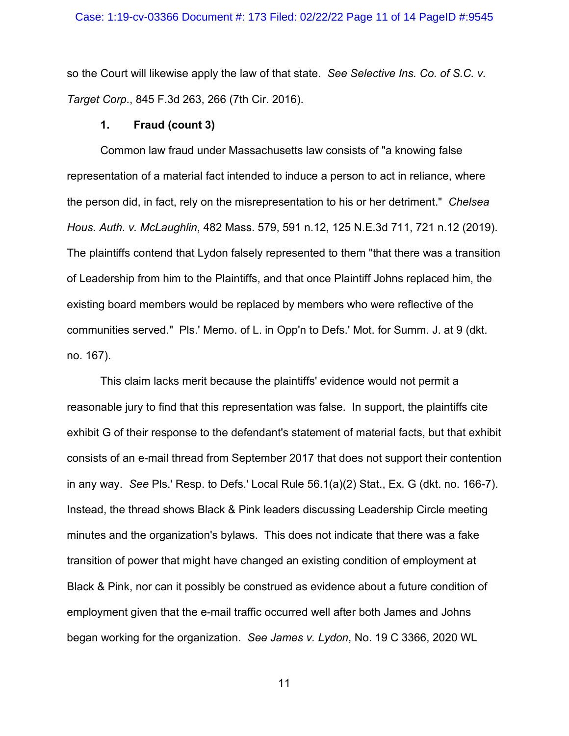### Case: 1:19-cv-03366 Document #: 173 Filed: 02/22/22 Page 11 of 14 PageID #:9545

so the Court will likewise apply the law of that state. *See Selective Ins. Co. of S.C. v. Target Corp*., 845 F.3d 263, 266 (7th Cir. 2016).

## **1. Fraud (count 3)**

Common law fraud under Massachusetts law consists of "a knowing false representation of a material fact intended to induce a person to act in reliance, where the person did, in fact, rely on the misrepresentation to his or her detriment." *Chelsea Hous. Auth. v. McLaughlin*, 482 Mass. 579, 591 n.12, 125 N.E.3d 711, 721 n.12 (2019). The plaintiffs contend that Lydon falsely represented to them "that there was a transition of Leadership from him to the Plaintiffs, and that once Plaintiff Johns replaced him, the existing board members would be replaced by members who were reflective of the communities served." Pls.' Memo. of L. in Opp'n to Defs.' Mot. for Summ. J. at 9 (dkt. no. 167).

This claim lacks merit because the plaintiffs' evidence would not permit a reasonable jury to find that this representation was false. In support, the plaintiffs cite exhibit G of their response to the defendant's statement of material facts, but that exhibit consists of an e-mail thread from September 2017 that does not support their contention in any way. *See* Pls.' Resp. to Defs.' Local Rule 56.1(a)(2) Stat., Ex. G (dkt. no. 166-7). Instead, the thread shows Black & Pink leaders discussing Leadership Circle meeting minutes and the organization's bylaws. This does not indicate that there was a fake transition of power that might have changed an existing condition of employment at Black & Pink, nor can it possibly be construed as evidence about a future condition of employment given that the e-mail traffic occurred well after both James and Johns began working for the organization. *See James v. Lydon*, No. 19 C 3366, 2020 WL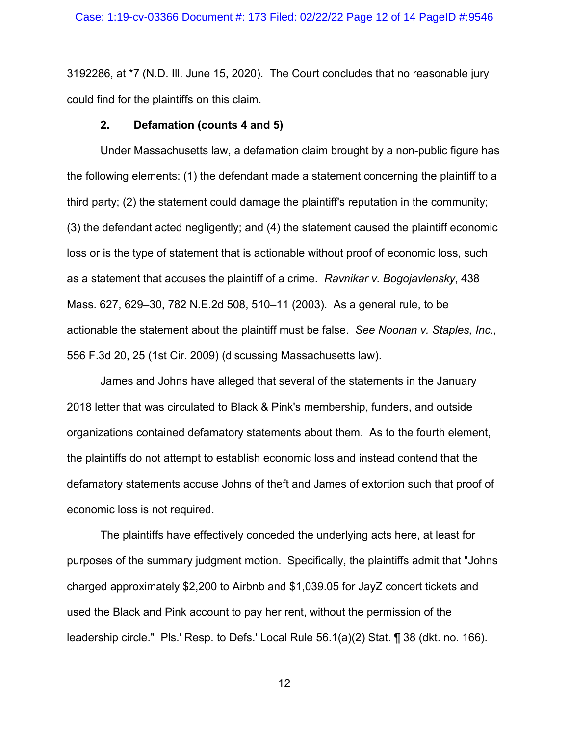3192286, at \*7 (N.D. Ill. June 15, 2020). The Court concludes that no reasonable jury could find for the plaintiffs on this claim.

## **2. Defamation (counts 4 and 5)**

Under Massachusetts law, a defamation claim brought by a non-public figure has the following elements: (1) the defendant made a statement concerning the plaintiff to a third party; (2) the statement could damage the plaintiff's reputation in the community; (3) the defendant acted negligently; and (4) the statement caused the plaintiff economic loss or is the type of statement that is actionable without proof of economic loss, such as a statement that accuses the plaintiff of a crime. *Ravnikar v. Bogojavlensky*, 438 Mass. 627, 629–30, 782 N.E.2d 508, 510–11 (2003). As a general rule, to be actionable the statement about the plaintiff must be false. *See Noonan v. Staples, Inc.*, 556 F.3d 20, 25 (1st Cir. 2009) (discussing Massachusetts law).

James and Johns have alleged that several of the statements in the January 2018 letter that was circulated to Black & Pink's membership, funders, and outside organizations contained defamatory statements about them. As to the fourth element, the plaintiffs do not attempt to establish economic loss and instead contend that the defamatory statements accuse Johns of theft and James of extortion such that proof of economic loss is not required.

The plaintiffs have effectively conceded the underlying acts here, at least for purposes of the summary judgment motion. Specifically, the plaintiffs admit that "Johns charged approximately \$2,200 to Airbnb and \$1,039.05 for JayZ concert tickets and used the Black and Pink account to pay her rent, without the permission of the leadership circle." Pls.' Resp. to Defs.' Local Rule 56.1(a)(2) Stat. ¶ 38 (dkt. no. 166).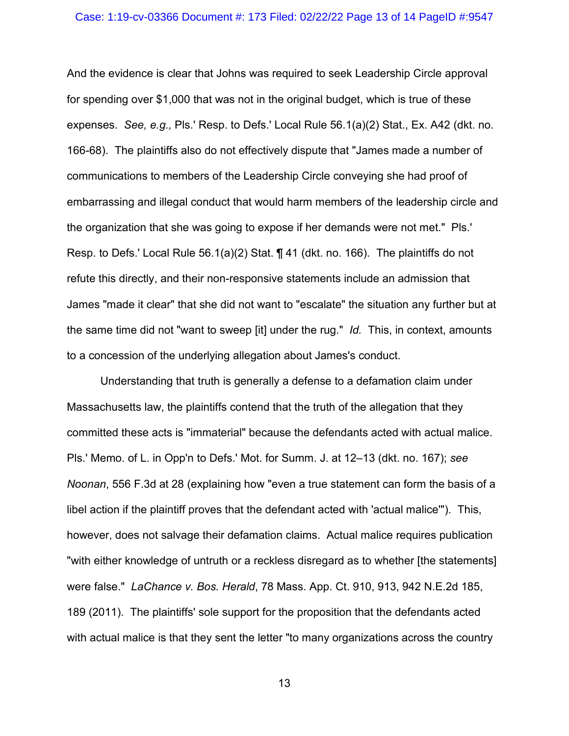### Case: 1:19-cv-03366 Document #: 173 Filed: 02/22/22 Page 13 of 14 PageID #:9547

And the evidence is clear that Johns was required to seek Leadership Circle approval for spending over \$1,000 that was not in the original budget, which is true of these expenses. *See, e.g.,* Pls.' Resp. to Defs.' Local Rule 56.1(a)(2) Stat., Ex. A42 (dkt. no. 166-68). The plaintiffs also do not effectively dispute that "James made a number of communications to members of the Leadership Circle conveying she had proof of embarrassing and illegal conduct that would harm members of the leadership circle and the organization that she was going to expose if her demands were not met." Pls.' Resp. to Defs.' Local Rule 56.1(a)(2) Stat. ¶ 41 (dkt. no. 166). The plaintiffs do not refute this directly, and their non-responsive statements include an admission that James "made it clear" that she did not want to "escalate" the situation any further but at the same time did not "want to sweep [it] under the rug." *Id.* This, in context, amounts to a concession of the underlying allegation about James's conduct.

Understanding that truth is generally a defense to a defamation claim under Massachusetts law, the plaintiffs contend that the truth of the allegation that they committed these acts is "immaterial" because the defendants acted with actual malice. Pls.' Memo. of L. in Opp'n to Defs.' Mot. for Summ. J. at 12–13 (dkt. no. 167); *see Noonan*, 556 F.3d at 28 (explaining how "even a true statement can form the basis of a libel action if the plaintiff proves that the defendant acted with 'actual malice'"). This, however, does not salvage their defamation claims. Actual malice requires publication "with either knowledge of untruth or a reckless disregard as to whether [the statements] were false." *LaChance v. Bos. Herald*, 78 Mass. App. Ct. 910, 913, 942 N.E.2d 185, 189 (2011). The plaintiffs' sole support for the proposition that the defendants acted with actual malice is that they sent the letter "to many organizations across the country